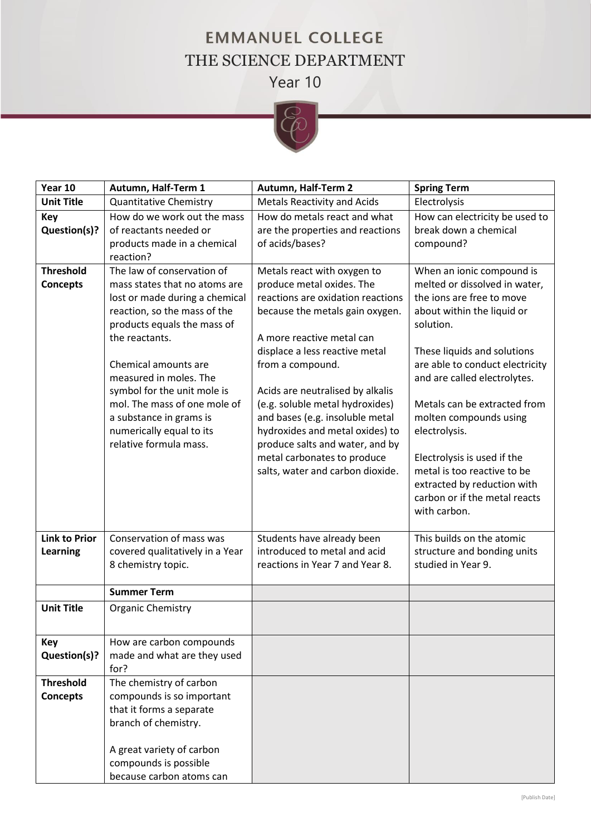## **EMMANUEL COLLEGE** THE SCIENCE DEPARTMENT Year 10



| Year 10                             | Autumn, Half-Term 1                                                                                                                                                                                                                                                                                                                                                              | Autumn, Half-Term 2                                                                                                                                                                                                                                                                                                                                                                                                                                                    | <b>Spring Term</b>                                                                                                                                                                                                                                                                                                                                                                                                                                            |
|-------------------------------------|----------------------------------------------------------------------------------------------------------------------------------------------------------------------------------------------------------------------------------------------------------------------------------------------------------------------------------------------------------------------------------|------------------------------------------------------------------------------------------------------------------------------------------------------------------------------------------------------------------------------------------------------------------------------------------------------------------------------------------------------------------------------------------------------------------------------------------------------------------------|---------------------------------------------------------------------------------------------------------------------------------------------------------------------------------------------------------------------------------------------------------------------------------------------------------------------------------------------------------------------------------------------------------------------------------------------------------------|
| <b>Unit Title</b>                   | <b>Quantitative Chemistry</b>                                                                                                                                                                                                                                                                                                                                                    | <b>Metals Reactivity and Acids</b>                                                                                                                                                                                                                                                                                                                                                                                                                                     | Electrolysis                                                                                                                                                                                                                                                                                                                                                                                                                                                  |
| Key<br>Question(s)?                 | How do we work out the mass<br>of reactants needed or<br>products made in a chemical<br>reaction?                                                                                                                                                                                                                                                                                | How do metals react and what<br>are the properties and reactions<br>of acids/bases?                                                                                                                                                                                                                                                                                                                                                                                    | How can electricity be used to<br>break down a chemical<br>compound?                                                                                                                                                                                                                                                                                                                                                                                          |
| <b>Threshold</b><br><b>Concepts</b> | The law of conservation of<br>mass states that no atoms are<br>lost or made during a chemical<br>reaction, so the mass of the<br>products equals the mass of<br>the reactants.<br>Chemical amounts are<br>measured in moles. The<br>symbol for the unit mole is<br>mol. The mass of one mole of<br>a substance in grams is<br>numerically equal to its<br>relative formula mass. | Metals react with oxygen to<br>produce metal oxides. The<br>reactions are oxidation reactions<br>because the metals gain oxygen.<br>A more reactive metal can<br>displace a less reactive metal<br>from a compound.<br>Acids are neutralised by alkalis<br>(e.g. soluble metal hydroxides)<br>and bases (e.g. insoluble metal<br>hydroxides and metal oxides) to<br>produce salts and water, and by<br>metal carbonates to produce<br>salts, water and carbon dioxide. | When an ionic compound is<br>melted or dissolved in water,<br>the ions are free to move<br>about within the liquid or<br>solution.<br>These liquids and solutions<br>are able to conduct electricity<br>and are called electrolytes.<br>Metals can be extracted from<br>molten compounds using<br>electrolysis.<br>Electrolysis is used if the<br>metal is too reactive to be<br>extracted by reduction with<br>carbon or if the metal reacts<br>with carbon. |
| <b>Link to Prior</b><br>Learning    | Conservation of mass was<br>covered qualitatively in a Year<br>8 chemistry topic.                                                                                                                                                                                                                                                                                                | Students have already been<br>introduced to metal and acid<br>reactions in Year 7 and Year 8.                                                                                                                                                                                                                                                                                                                                                                          | This builds on the atomic<br>structure and bonding units<br>studied in Year 9.                                                                                                                                                                                                                                                                                                                                                                                |
|                                     | <b>Summer Term</b>                                                                                                                                                                                                                                                                                                                                                               |                                                                                                                                                                                                                                                                                                                                                                                                                                                                        |                                                                                                                                                                                                                                                                                                                                                                                                                                                               |
| <b>Unit Title</b>                   | <b>Organic Chemistry</b>                                                                                                                                                                                                                                                                                                                                                         |                                                                                                                                                                                                                                                                                                                                                                                                                                                                        |                                                                                                                                                                                                                                                                                                                                                                                                                                                               |
| Key<br>Question(s)?                 | How are carbon compounds<br>made and what are they used<br>for?                                                                                                                                                                                                                                                                                                                  |                                                                                                                                                                                                                                                                                                                                                                                                                                                                        |                                                                                                                                                                                                                                                                                                                                                                                                                                                               |
| <b>Threshold</b><br><b>Concepts</b> | The chemistry of carbon<br>compounds is so important<br>that it forms a separate<br>branch of chemistry.<br>A great variety of carbon<br>compounds is possible<br>because carbon atoms can                                                                                                                                                                                       |                                                                                                                                                                                                                                                                                                                                                                                                                                                                        |                                                                                                                                                                                                                                                                                                                                                                                                                                                               |